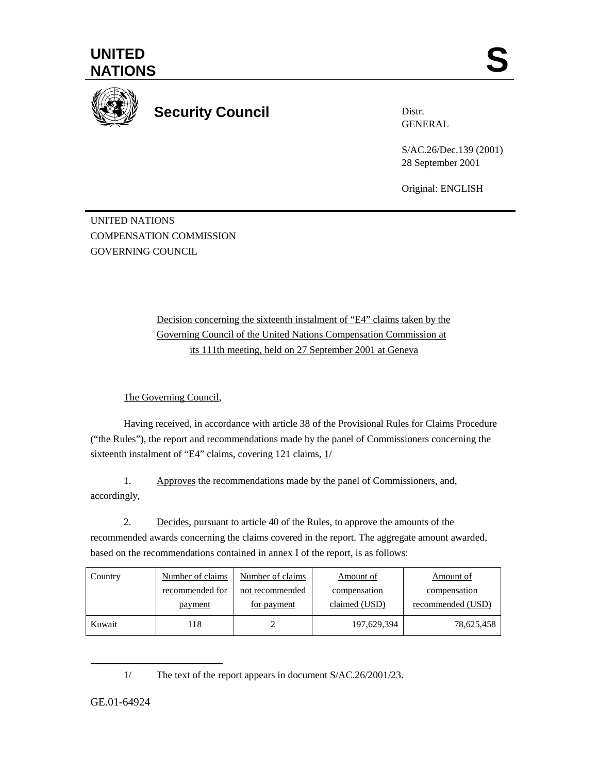



**Security Council** 

Distr. GENERAL

S/AC.26/Dec.139 (2001) 28 September 2001

Original: ENGLISH

UNITED NATIONS COMPENSATION COMMISSION GOVERNING COUNCIL

> Decision concerning the sixteenth instalment of "E4" claims taken by the Governing Council of the United Nations Compensation Commission at its 111th meeting, held on 27 September 2001 at Geneva

The Governing Council,

Having received, in accordance with article 38 of the Provisional Rules for Claims Procedure ("the Rules"), the report and recommendations made by the panel of Commissioners concerning the sixteenth instalment of "E4" claims, covering 121 claims, 1/

1. Approves the recommendations made by the panel of Commissioners, and, accordingly,

2. Decides, pursuant to article 40 of the Rules, to approve the amounts of the recommended awards concerning the claims covered in the report. The aggregate amount awarded, based on the recommendations contained in annex I of the report, is as follows:

| Country | Number of claims | Number of claims | Amount of     | Amount of         |
|---------|------------------|------------------|---------------|-------------------|
|         | recommended for  | not recommended  | compensation  | compensation      |
|         | payment          | for payment      | claimed (USD) | recommended (USD) |
| Kuwait  | 18               |                  | 197,629,394   | 78,625,458        |

<sup>1/</sup> The text of the report appears in document S/AC.26/2001/23.

GE.01-64924

 $\overline{a}$